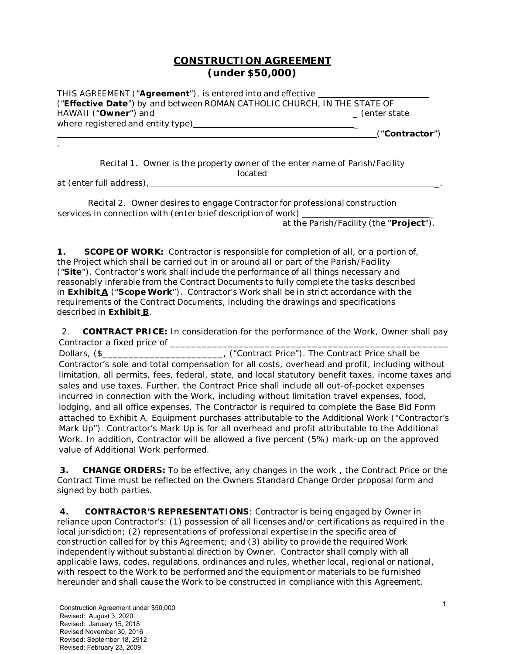## **CONSTRUCTION AGREEMENT (under \$50,000)**

| THIS AGREEMENT (" <b>Agreement</b> "), is entered into and effective ___________________<br>("Effective Date") by and between ROMAN CATHOLIC CHURCH, IN THE STATE OF |                |
|----------------------------------------------------------------------------------------------------------------------------------------------------------------------|----------------|
|                                                                                                                                                                      | (enter state   |
| where registered and entity type) where registered and entity type)                                                                                                  | ("Contractor") |
|                                                                                                                                                                      |                |
| Recital 1 Owner is the property owner of the enter name of Parish/Eacility                                                                                           |                |

Recital 1. Owner is the property owner of the enter name of Parish/Facility located

at *(enter full address)*, \_.

| Recital 2. Owner desires to engage Contractor for professional construction |  |
|-----------------------------------------------------------------------------|--|
| services in connection with (enter brief description of work)               |  |
| at the Parish/Facility (the "Project").                                     |  |

**1. SCOPE OF WORK:** Contractor is responsible for completion of all, or a portion of, the Project which shall be carried out in or around all or part of the Parish/Facility ("**Site**"). Contractor's work shall include the performance of all things necessary and reasonably inferable from the Contract Documents to fully complete the tasks described in **Exhibit A** ("**Scope Work**"). Contractor's Work shall be in strict accordance with the requirements of the Contract Documents, including the drawings and specifications described in **Exhibit B**.

 2. **CONTRACT PRICE:** In consideration for the performance of the Work, Owner shall pay Contractor a fixed price of \_\_\_\_\_\_\_\_\_\_\_\_\_\_\_\_\_\_\_\_\_\_\_\_\_\_\_\_\_\_\_\_\_\_\_\_\_\_\_\_\_\_\_\_\_\_\_\_\_\_\_\_\_

Dollars,  $(\frac{1}{2})$  Dollars,  $(\frac{1}{2})$  and  $(\frac{1}{2})$  and  $(\frac{1}{2})$  are contract Price shall be and  $(\frac{1}{2})$  and  $(\frac{1}{2})$  and  $(\frac{1}{2})$  are contract Price shall be Contractor's sole and total compensation for all costs, overhead and profit, including without limitation, all permits, fees, federal, state, and local statutory benefit taxes, income taxes and sales and use taxes. Further, the Contract Price shall include all out-of-pocket expenses incurred in connection with the Work, including without limitation travel expenses, food, lodging, and all office expenses. The Contractor is required to complete the Base Bid Form attached to Exhibit A. Equipment purchases attributable to the Additional Work ("Contractor's Mark Up"). Contractor's Mark Up is for all overhead and profit attributable to the Additional Work. In addition, Contractor will be allowed a five percent (5%) mark-up on the approved value of Additional Work performed.

**3. CHANGE ORDERS:** To be effective, any changes in the work , the Contract Price or the Contract Time must be reflected on the Owners Standard Change Order proposal form and signed by both parties.

**4. CONTRACTOR'S REPRESENTATIONS**: Contractor is being engaged by Owner in reliance upon Contractor's: (1) possession of all licenses and/or certifications as required in the local jurisdiction; (2) representations of professional expertise in the specific area of construction called for by this Agreement; and (3) ability to provide the required Work independently without substantial direction by Owner. Contractor shall comply with all applicable laws, codes, regulations, ordinances and rules, whether local, regional or national, with respect to the Work to be performed and the equipment or materials to be furnished hereunder and shall cause the Work to be constructed in compliance with this Agreement.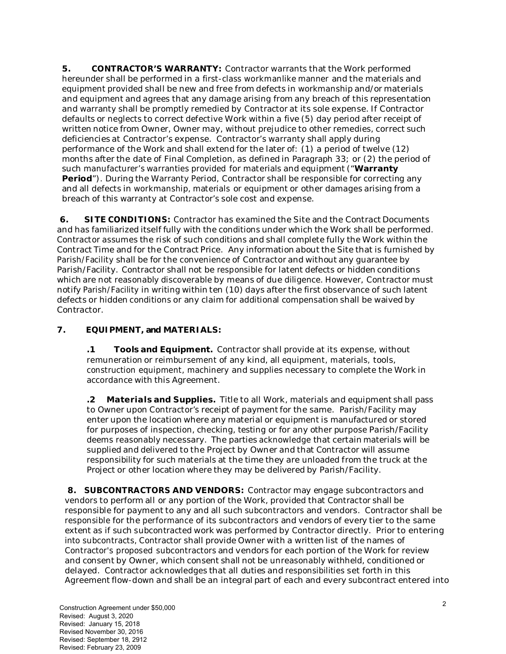**5. CONTRACTOR'S WARRANTY:** Contractor warrants that the Work performed hereunder shall be performed in a first-class workmanlike manner and the materials and equipment provided shall be new and free from defects in workmanship and/or materials and equipment and agrees that any damage arising from any breach of this representation and warranty shall be promptly remedied by Contractor at its sole expense. If Contractor defaults or neglects to correct defective Work within a five (5) day period after receipt of written notice from Owner, Owner may, without prejudice to other remedies, correct such deficiencies at Contractor's expense. Contractor's warranty shall apply during performance of the Work and shall extend for the later of: (1) a period of twelve (12) months after the date of Final Completion, as defined in Paragraph 33; or (2) the period of such manufacturer's warranties provided for materials and equipment ("**Warranty Period**"). During the Warranty Period, Contractor shall be responsible for correcting any and all defects in workmanship, materials or equipment or other damages arising from a breach of this warranty at Contractor's sole cost and expense.

**6. SITE CONDITIONS:** Contractor has examined the Site and the Contract Documents and has familiarized itself fully with the conditions under which the Work shall be performed. Contractor assumes the risk of such conditions and shall complete fully the Work within the Contract Time and for the Contract Price. Any information about the Site that is furnished by Parish/Facility shall be for the convenience of Contractor and without any guarantee by Parish/Facility. Contractor shall not be responsible for latent defects or hidden conditions which are not reasonably discoverable by means of due diligence. However, Contractor must notify Parish/Facility in writing within ten (10) days after the first observance of such latent defects or hidden conditions or any claim for additional compensation shall be waived by Contractor.

## **7. EQUIPMENT, and MATERIALS:**

**.1 Tools and Equipment.** Contractor shall provide at its expense, without remuneration or reimbursement of any kind, all equipment, materials, tools, construction equipment, machinery and supplies necessary to complete the Work in accordance with this Agreement.

**.2 Materials and Supplies.** Title to all Work, materials and equipment shall pass to Owner upon Contractor's receipt of payment for the same. Parish/Facility may enter upon the location where any material or equipment is manufactured or stored for purposes of inspection, checking, testing or for any other purpose Parish/Facility deems reasonably necessary. The parties acknowledge that certain materials will be supplied and delivered to the Project by Owner and that Contractor will assume responsibility for such materials at the time they are unloaded from the truck at the Project or other location where they may be delivered by Parish/Facility.

**8. SUBCONTRACTORS AND VENDORS:** Contractor may engage subcontractors and vendors to perform all or any portion of the Work, provided that Contractor shall be responsible for payment to any and all such subcontractors and vendors. Contractor shall be responsible for the performance of its subcontractors and vendors of every tier to the same extent as if such subcontracted work was performed by Contractor directly. Prior to entering into subcontracts, Contractor shall provide Owner with a written list of the names of Contractor's proposed subcontractors and vendors for each portion of the Work for review and consent by Owner, which consent shall not be unreasonably withheld, conditioned or delayed. Contractor acknowledges that all duties and responsibilities set forth in this Agreement flow-down and shall be an integral part of each and every subcontract entered into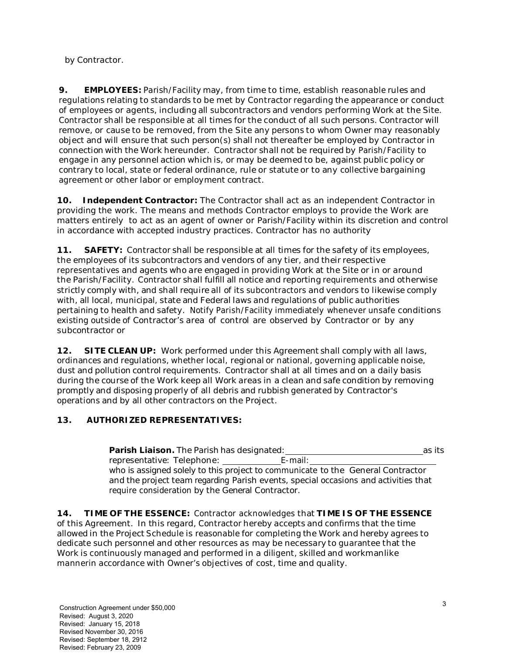by Contractor.

**9. EMPLOYEES:** Parish/Facility may, from time to time, establish reasonable rules and regulations relating to standards to be met by Contractor regarding the appearance or conduct of employees or agents, including all subcontractors and vendors performing Work at the Site. Contractor shall be responsible at all times for the conduct of all such persons. Contractor will remove, or cause to be removed, from the Site any persons to whom Owner may reasonably object and will ensure that such person(s) shall not thereafter be employed by Contractor in connection with the Work hereunder. Contractor shall not be required by Parish/Facility to engage in any personnel action which is, or may be deemed to be, against public policy or contrary to local, state or federal ordinance, rule or statute or to any collective bargaining agreement or other labor or employment contract.

**10. Independent Contractor:** The Contractor shall act as an independent Contractor in providing the work. The means and methods Contractor employs to provide the Work are matters entirely to act as an agent of owner or Parish/Facility within its discretion and control in accordance with accepted industry practices. Contractor has no authority

**11. SAFETY:** Contractor shall be responsible at all times for the safety of its employees, the employees of its subcontractors and vendors of any tier, and their respective representatives and agents who are engaged in providing Work at the Site or in or around the Parish/Facility. Contractor shall fulfill all notice and reporting requirements and otherwise strictly comply with, and shall require all of its subcontractors and vendors to likewise comply with, all local, municipal, state and Federal laws and regulations of public authorities pertaining to health and safety. Notify Parish/Facility immediately whenever unsafe conditions existing outside of Contractor's area of control are observed by Contractor or by any subcontractor or

**12. SITE CLEAN UP:** Work performed under this Agreement shall comply with all laws, ordinances and regulations, whether local, regional or national, governing applicable noise, dust and pollution control requirements. Contractor shall at all times and on a daily basis during the course of the Work keep all Work areas in a clean and safe condition by removing promptly and disposing properly of all debris and rubbish generated by Contractor's operations and by all other contractors on the Project.

## **13. AUTHORIZED REPRESENTATIVES:**

**Parish Liaison.** The Parish has designated: **as its** as its as its representative: Telephone: E-mail: who is assigned solely to this project to communicate to the General Contractor and the project team regarding Parish events, special occasions and activities that require consideration by the General Contractor.

**14. TIME OF THE ESSENCE:** Contractor acknowledges that **TIME IS OF THE ESSENCE**  of this Agreement. In this regard, Contractor hereby accepts and confirms that the time allowed in the Project Schedule is reasonable for completing the Work and hereby agrees to dedicate such personnel and other resources as may be necessary to guarantee that the Work is continuously managed and performed in a diligent, skilled and workmanlike mannerin accordance with Owner's objectives of cost, time and quality.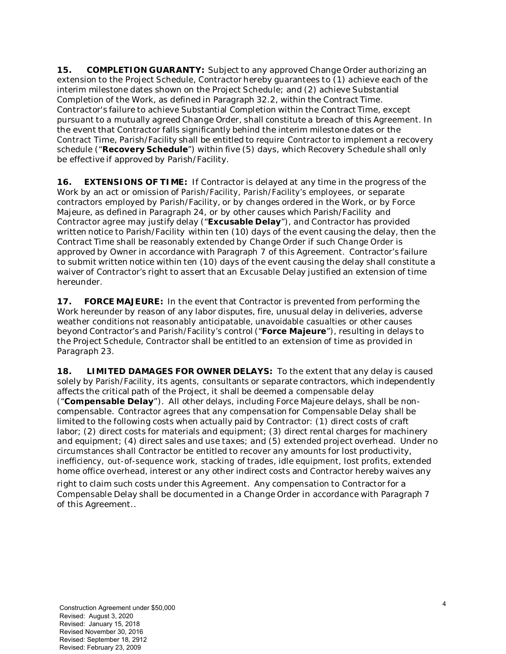**15. COMPLETION GUARANTY:** Subject to any approved Change Order authorizing an extension to the Project Schedule, Contractor hereby guarantees to (1) achieve each of the interim milestone dates shown on the Project Schedule; and (2) achieve Substantial Completion of the Work, as defined in Paragraph 32.2, within the Contract Time. Contractor's failure to achieve Substantial Completion within the Contract Time, except pursuant to a mutually agreed Change Order, shall constitute a breach of this Agreement. In the event that Contractor falls significantly behind the interim milestone dates or the Contract Time, Parish/Facility shall be entitled to require Contractor to implement a recovery schedule ("**Recovery Schedule**") within five (5) days, which Recovery Schedule shall only be effective if approved by Parish/Facility.

**16. EXTENSIONS OF TIME:** If Contractor is delayed at any time in the progress of the Work by an act or omission of Parish/Facility, Parish/Facility's employees, or separate contractors employed by Parish/Facility, or by changes ordered in the Work, or by Force Majeure, as defined in Paragraph 24, or by other causes which Parish/Facility and Contractor agree may justify delay ("**Excusable Delay**"), and Contractor has provided written notice to Parish/Facility within ten (10) days of the event causing the delay, then the Contract Time shall be reasonably extended by Change Order if such Change Order is approved by Owner in accordance with Paragraph 7 of this Agreement. Contractor's failure to submit written notice within ten (10) days of the event causing the delay shall constitute a waiver of Contractor's right to assert that an Excusable Delay justified an extension of time hereunder.

**17. FORCE MAJEURE:** In the event that Contractor is prevented from performing the Work hereunder by reason of any labor disputes, fire, unusual delay in deliveries, adverse weather conditions not reasonably anticipatable, unavoidable casualties or other causes beyond Contractor's and Parish/Facility's control ("**Force Majeure**"), resulting in delays to the Project Schedule, Contractor shall be entitled to an extension of time as provided in Paragraph 23.

**18. LIMITED DAMAGES FOR OWNER DELAYS:** To the extent that any delay is caused solely by Parish/Facility, its agents, consultants or separate contractors, which independently affects the critical path of the Project, it shall be deemed a compensable delay ("**Compensable Delay**"). All other delays, including Force Majeure delays, shall be noncompensable. Contractor agrees that any compensation for Compensable Delay shall be limited to the following costs when actually paid by Contractor: (1) direct costs of craft labor; (2) direct costs for materials and equipment; (3) direct rental charges for machinery and equipment; (4) direct sales and use taxes; and (5) extended project overhead. Under no circumstances shall Contractor be entitled to recover any amounts for lost productivity, inefficiency, out-of-sequence work, stacking of trades, idle equipment, lost profits, extended home office overhead, interest or any other indirect costs and Contractor hereby waives any

right to claim such costs under this Agreement. Any compensation to Contractor for a Compensable Delay shall be documented in a Change Order in accordance with Paragraph 7 of this Agreement..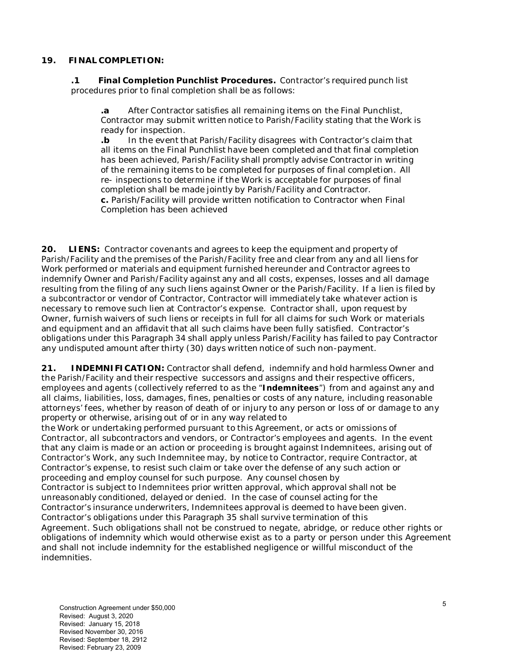#### **19. FINAL COMPLETION:**

**.1 Final Completion Punchlist Procedures.** Contractor's required punch list procedures prior to final completion shall be as follows:

**.a** After Contractor satisfies all remaining items on the Final Punchlist, Contractor may submit written notice to Parish/Facility stating that the Work is ready for inspection.

**.b** In the event that Parish/Facility disagrees with Contractor's claim that all items on the Final Punchlist have been completed and that final completion has been achieved, Parish/Facility shall promptly advise Contractor in writing of the remaining items to be completed for purposes of final completion. All re- inspections to determine if the Work is acceptable for purposes of final completion shall be made jointly by Parish/Facility and Contractor. **c.** Parish/Facility will provide written notification to Contractor when Final Completion has been achieved

**20. LIENS:** Contractor covenants and agrees to keep the equipment and property of Parish/Facility and the premises of the Parish/Facility free and clear from any and all liens for Work performed or materials and equipment furnished hereunder and Contractor agrees to indemnify Owner and Parish/Facility against any and all costs, expenses, losses and all damage resulting from the filing of any such liens against Owner or the Parish/Facility. If a lien is filed by a subcontractor or vendor of Contractor, Contractor will immediately take whatever action is necessary to remove such lien at Contractor's expense. Contractor shall, upon request by Owner, furnish waivers of such liens or receipts in full for all claims for such Work or materials and equipment and an affidavit that all such claims have been fully satisfied. Contractor's obligations under this Paragraph 34 shall apply unless Parish/Facility has failed to pay Contractor any undisputed amount after thirty (30) days written notice of such non-payment.

**21. INDEMNIFICATION:** Contractor shall defend, indemnify and hold harmless Owner and the Parish/Facility and their respective successors and assigns and their respective officers, employees and agents (collectively referred to as the "**Indemnitees**") from and against any and all claims, liabilities, loss, damages, fines, penalties or costs of any nature, including reasonable attorneys' fees, whether by reason of death of or injury to any person or loss of or damage to any property or otherwise, arising out of or in any way related to

the Work or undertaking performed pursuant to this Agreement, or acts or omissions of Contractor, all subcontractors and vendors, or Contractor's employees and agents. In the event that any claim is made or an action or proceeding is brought against Indemnitees, arising out of Contractor's Work, any such Indemnitee may, by notice to Contractor, require Contractor, at Contractor's expense, to resist such claim or take over the defense of any such action or proceeding and employ counsel for such purpose. Any counsel chosen by Contractor is subject to Indemnitees prior written approval, which approval shall not be unreasonably conditioned, delayed or denied. In the case of counsel acting for the Contractor's insurance underwriters, Indemnitees approval is deemed to have been given. Contractor's obligations under this Paragraph 35 shall survive termination of this Agreement. Such obligations shall not be construed to negate, abridge, or reduce other rights or obligations of indemnity which would otherwise exist as to a party or person under this Agreement and shall not include indemnity for the established negligence or willful misconduct of the indemnities.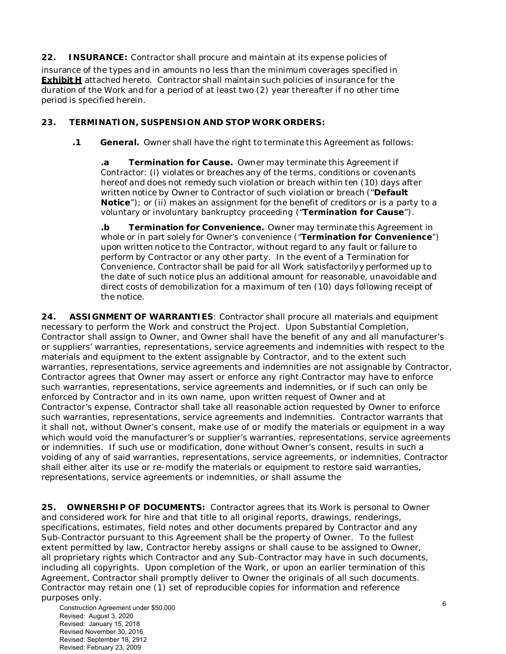**22. INSURANCE:** Contractor shall procure and maintain at its expense policies of

insurance of the types and in amounts no less than the minimum coverages specified in **Exhibit H** attached hereto. Contractor shall maintain such policies of insurance for the duration of the Work and for a period of at least two (2) year thereafter if no other time period is specified herein.

## **23. TERMINATION, SUSPENSION AND STOP WORK ORDERS:**

**.1 General.** Owner shall have the right to terminate this Agreement as follows:

**.a Termination for Cause.** Owner may terminate this Agreement if Contractor: (i) violates or breaches any of the terms, conditions or covenants hereof and does not remedy such violation or breach within ten (10) days after written notice by Owner to Contractor of such violation or breach ("**Default Notice**"); or (ii) makes an assignment for the benefit of creditors or is a party to a voluntary or involuntary bankruptcy proceeding ("**Termination for Cause**").

**.b Termination for Convenience.** Owner may terminate this Agreement in whole or in part solely for Owner's convenience ("**Termination for Convenience**") upon written notice to the Contractor, without regard to any fault or failure to perform by Contractor or any other party. In the event of a Termination for Convenience, Contractor shall be paid for all Work satisfactorilyy performed up to the date of such notice plus an additional amount for reasonable, unavoidable and direct costs of demobilization for a maximum of ten (10) days following receipt of the notice.

**24. ASSIGNMENT OF WARRANTIES**: Contractor shall procure all materials and equipment necessary to perform the Work and construct the Project. Upon Substantial Completion, Contractor shall assign to Owner, and Owner shall have the benefit of any and all manufacturer's or suppliers' warranties, representations, service agreements and indemnities with respect to the materials and equipment to the extent assignable by Contractor, and to the extent such warranties, representations, service agreements and indemnities are not assignable by Contractor, Contractor agrees that Owner may assert or enforce any right Contractor may have to enforce such warranties, representations, service agreements and indemnities, or if such can only be enforced by Contractor and in its own name, upon written request of Owner and at Contractor's expense, Contractor shall take all reasonable action requested by Owner to enforce such warranties, representations, service agreements and indemnities. Contractor warrants that it shall not, without Owner's consent, make use of or modify the materials or equipment in a way which would void the manufacturer's or supplier's warranties, representations, service agreements or indemnities. If such use or modification, done without Owner's consent, results in such a voiding of any of said warranties, representations, service agreements, or indemnities, Contractor shall either alter its use or re-modify the materials or equipment to restore said warranties, representations, service agreements or indemnities, or shall assume the

**25. OWNERSHIP OF DOCUMENTS:** Contractor agrees that its Work is personal to Owner and considered work for hire and that title to all original reports, drawings, renderings, specifications, estimates, field notes and other documents prepared by Contractor and any Sub-Contractor pursuant to this Agreement shall be the property of Owner. To the fullest extent permitted by law, Contractor hereby assigns or shall cause to be assigned to Owner, all proprietary rights which Contractor and any Sub-Contractor may have in such documents, including all copyrights. Upon completion of the Work, or upon an earlier termination of this Agreement, Contractor shall promptly deliver to Owner the originals of all such documents. Contractor may retain one (1) set of reproducible copies for information and reference purposes only.

Construction Agreement under \$50,000 Revised: August 3, 2020 Revised: January 15, 2018 Revised November 30, 2016 Revised: September 18, 2912 Revised: February 23, 2009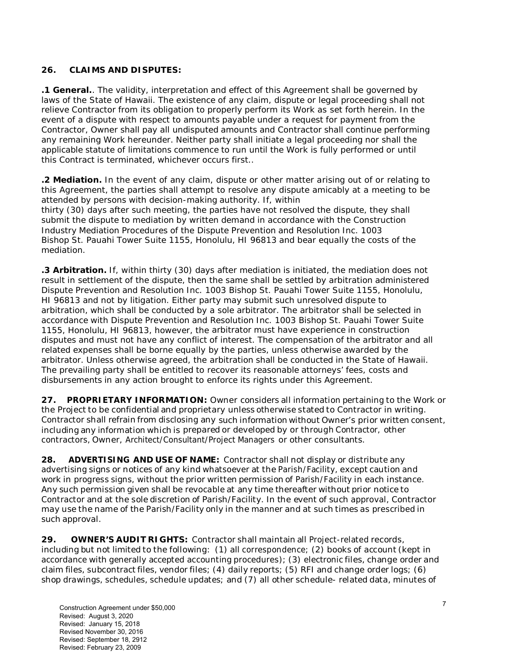## **26. CLAIMS AND DISPUTES:**

**.1 General.**. The validity, interpretation and effect of this Agreement shall be governed by laws of the State of Hawaii. The existence of any claim, dispute or legal proceeding shall not relieve Contractor from its obligation to properly perform its Work as set forth herein. In the event of a dispute with respect to amounts payable under a request for payment from the Contractor, Owner shall pay all undisputed amounts and Contractor shall continue performing any remaining Work hereunder. Neither party shall initiate a legal proceeding nor shall the applicable statute of limitations commence to run until the Work is fully performed or until this Contract is terminated, whichever occurs first..

**.2 Mediation.** In the event of any claim, dispute or other matter arising out of or relating to this Agreement, the parties shall attempt to resolve any dispute amicably at a meeting to be attended by persons with decision-making authority. If, within thirty (30) days after such meeting, the parties have not resolved the dispute, they shall submit the dispute to mediation by written demand in accordance with the Construction Industry Mediation Procedures of the Dispute Prevention and Resolution Inc. 1003 Bishop St. Pauahi Tower Suite 1155, Honolulu, HI 96813 and bear equally the costs of the mediation.

**.3 Arbitration.** If, within thirty (30) days after mediation is initiated, the mediation does not result in settlement of the dispute, then the same shall be settled by arbitration administered Dispute Prevention and Resolution Inc. 1003 Bishop St. Pauahi Tower Suite 1155, Honolulu, HI 96813 and not by litigation. Either party may submit such unresolved dispute to arbitration, which shall be conducted by a sole arbitrator. The arbitrator shall be selected in accordance with Dispute Prevention and Resolution Inc. 1003 Bishop St. Pauahi Tower Suite 1155, Honolulu, HI 96813, however, the arbitrator must have experience in construction disputes and must not have any conflict of interest. The compensation of the arbitrator and all related expenses shall be borne equally by the parties, unless otherwise awarded by the arbitrator. Unless otherwise agreed, the arbitration shall be conducted in the State of Hawaii. The prevailing party shall be entitled to recover its reasonable attorneys' fees, costs and disbursements in any action brought to enforce its rights under this Agreement.

**27. PROPRIETARY INFORMATION:** Owner considers all information pertaining to the Work or the Project to be confidential and proprietary unless otherwise stated to Contractor in writing. Contractor shall refrain from disclosing any such information without Owner's prior written consent, including any information which is prepared or developed by or through Contractor, other contractors, Owner, Architect/Consultant/Project Managers or other consultants.

**28. ADVERTISING AND USE OF NAME:** Contractor shall not display or distribute any advertising signs or notices of any kind whatsoever at the Parish/Facility, except caution and work in progress signs, without the prior written permission of Parish/Facility in each instance. Any such permission given shall be revocable at any time thereafter without prior notice to Contractor and at the sole discretion of Parish/Facility. In the event of such approval, Contractor may use the name of the Parish/Facility only in the manner and at such times as prescribed in such approval.

**29. OWNER'S AUDIT RIGHTS:** Contractor shall maintain all Project-related records, including but not limited to the following: (1) all correspondence; (2) books of account (kept in accordance with generally accepted accounting procedures); (3) electronic files, change order and claim files, subcontract files, vendor files; (4) daily reports; (5) RFI and change order logs; (6) shop drawings, schedules, schedule updates; and (7) all other schedule- related data, minutes of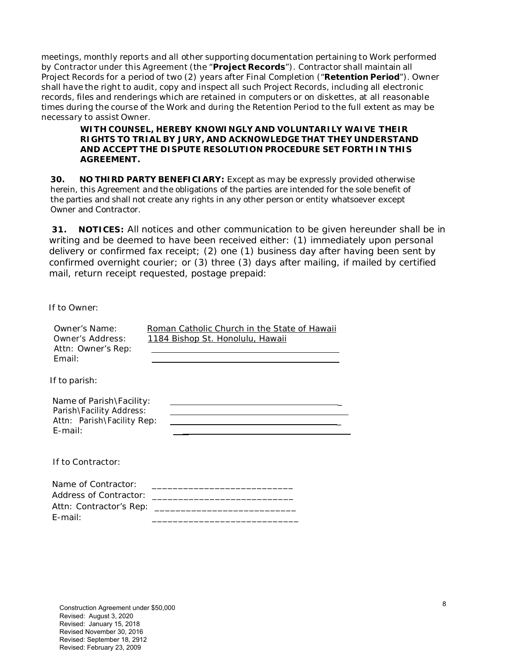meetings, monthly reports and all other supporting documentation pertaining to Work performed by Contractor under this Agreement (the "**Project Records**"). Contractor shall maintain all Project Records for a period of two (2) years after Final Completion ("**Retention Period**"). Owner shall have the right to audit, copy and inspect all such Project Records, including all electronic records, files and renderings which are retained in computers or on diskettes, at all reasonable times during the course of the Work and during the Retention Period to the full extent as may be necessary to assist Owner.

### **WITH COUNSEL, HEREBY KNOWINGLY AND VOLUNTARILY WAIVE THEIR RIGHTS TO TRIAL BY JURY, AND ACKNOWLEDGE THAT THEY UNDERSTAND AND ACCEPT THE DISPUTE RESOLUTION PROCEDURE SET FORTH IN THIS AGREEMENT.**

**30. NO THIRD PARTY BENEFICIARY:** Except as may be expressly provided otherwise herein, this Agreement and the obligations of the parties are intended for the sole benefit of the parties and shall not create any rights in any other person or entity whatsoever except Owner and Contractor.

**31. NOTICES:** All notices and other communication to be given hereunder shall be in writing and be deemed to have been received either: (1) immediately upon personal delivery or confirmed fax receipt; (2) one (1) business day after having been sent by confirmed overnight courier; or (3) three (3) days after mailing, if mailed by certified mail, return receipt requested, postage prepaid:

If to Owner:

| Owner's Name:<br>Owner's Address:<br>Attn: Owner's Rep:<br>Email:                                | Roman Catholic Church in the State of Hawaii<br>1184 Bishop St. Honolulu, Hawaii                                                                                                                                         |
|--------------------------------------------------------------------------------------------------|--------------------------------------------------------------------------------------------------------------------------------------------------------------------------------------------------------------------------|
| If to parish:                                                                                    |                                                                                                                                                                                                                          |
| Name of Parish\Facility:<br>Parish\Facility Address:<br>Attn: Parish\Facility Rep:<br>$E$ -mail: |                                                                                                                                                                                                                          |
| If to Contractor:                                                                                |                                                                                                                                                                                                                          |
| Name of Contractor:<br>Attn: Contractor's Rep:<br>$E$ -mail:                                     | <u> 1989 - Johann Barn, mars ann an t-Amhair ann an t-Amhair ann an t-Amhair ann an t-Amhair ann an t-Amhair ann an t-A</u><br>the control of the control of the control of the control of the control of the control of |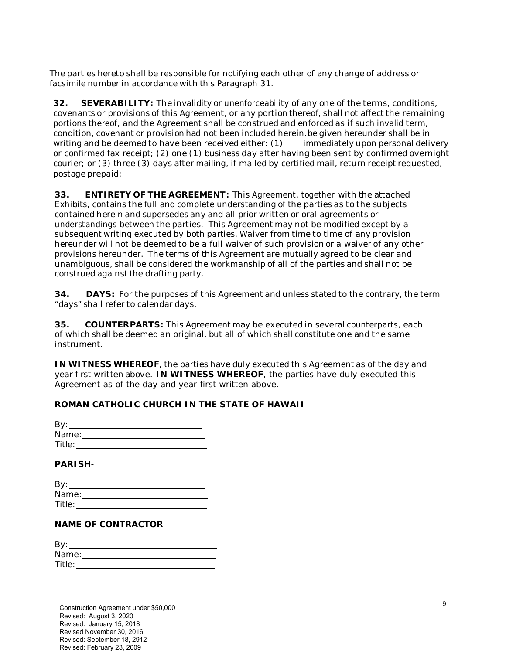The parties hereto shall be responsible for notifying each other of any change of address or facsimile number in accordance with this Paragraph 31.

**32. SEVERABILITY:** The invalidity or unenforceability of any one of the terms, conditions, covenants or provisions of this Agreement, or any portion thereof, shall not affect the remaining portions thereof, and the Agreement shall be construed and enforced as if such invalid term, condition, covenant or provision had not been included herein.be given hereunder shall be in writing and be deemed to have been received either: (1) immediately upon personal delivery or confirmed fax receipt; (2) one (1) business day after having been sent by confirmed overnight courier; or (3) three (3) days after mailing, if mailed by certified mail, return receipt requested, postage prepaid:

**33. ENTIRETY OF THE AGREEMENT:** This Agreement, together with the attached Exhibits, contains the full and complete understanding of the parties as to the subjects contained herein and supersedes any and all prior written or oral agreements or understandings between the parties. This Agreement may not be modified except by a subsequent writing executed by both parties. Waiver from time to time of any provision hereunder will not be deemed to be a full waiver of such provision or a waiver of any other provisions hereunder. The terms of this Agreement are mutually agreed to be clear and unambiguous, shall be considered the workmanship of all of the parties and shall not be construed against the drafting party.

**34. DAYS:** For the purposes of this Agreement and unless stated to the contrary, the term "days" shall refer to calendar days.

**35. COUNTERPARTS:** This Agreement may be executed in several counterparts, each of which shall be deemed an original, but all of which shall constitute one and the same instrument.

**IN WITNESS WHEREOF**, the parties have duly executed this Agreement as of the day and year first written above. **IN WITNESS WHEREOF**, the parties have duly executed this Agreement as of the day and year first written above.

## **ROMAN CATHOLIC CHURCH IN THE STATE OF HAWAII**

| By:    |  |
|--------|--|
| Name:  |  |
| Title: |  |

### **PARISH**-

| By:    |  |  |
|--------|--|--|
| Name:  |  |  |
| Title: |  |  |

### **NAME OF CONTRACTOR**

| By:    |  |
|--------|--|
| Name:  |  |
| Title: |  |

Construction Agreement under \$50,000 Revised: August 3, 2020 Revised: January 15, 2018 Revised November 30, 2016 Revised: September 18, 2912 Revised: February 23, 2009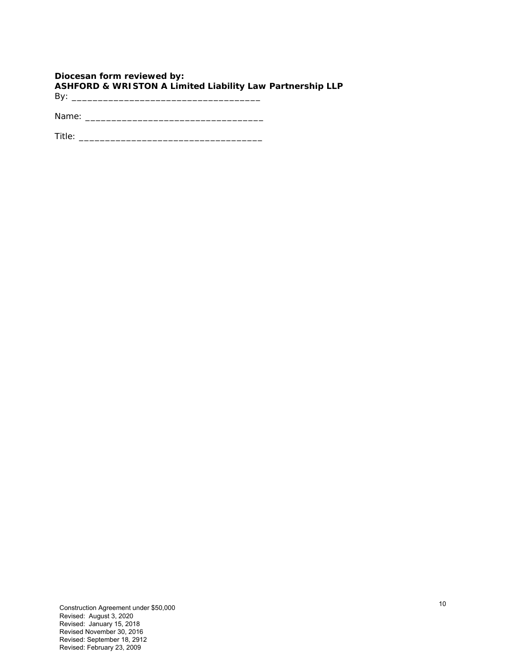## **Diocesan form reviewed by: ASHFORD & WRISTON A Limited Liability Law Partnership LLP**  By: \_\_\_\_\_\_\_\_\_\_\_\_\_\_\_\_\_\_\_\_\_\_\_\_\_\_\_\_\_\_\_\_\_\_\_\_

Name: \_\_\_\_\_\_\_\_\_\_\_\_\_\_\_\_\_\_\_\_\_\_\_\_\_\_\_\_\_\_\_\_\_\_

Title: \_\_\_\_\_\_\_\_\_\_\_\_\_\_\_\_\_\_\_\_\_\_\_\_\_\_\_\_\_\_\_\_\_\_\_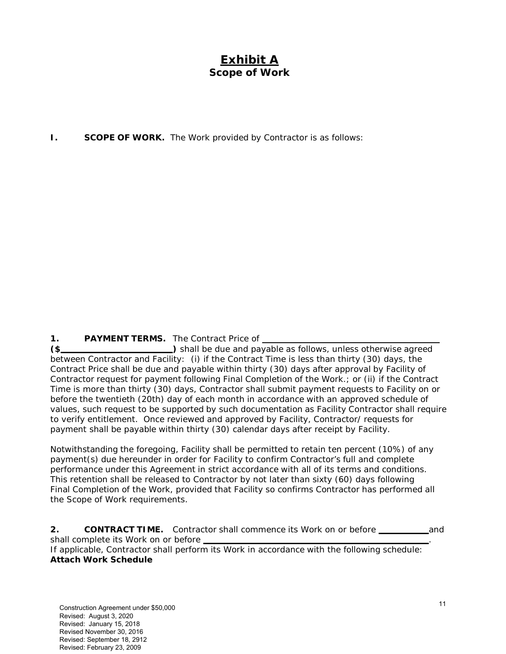# **Exhibit A Scope of Work**

**I. SCOPE OF WORK.** The Work provided by Contractor is as follows:

1. PAYMENT TERMS. The Contract Price of

**(\$** ) shall be due and payable as follows, unless otherwise agreed between Contractor and Facility: (i) if the Contract Time is less than thirty (30) days, the Contract Price shall be due and payable within thirty (30) days after approval by Facility of Contractor request for payment following Final Completion of the Work.; or (ii) if the Contract Time is more than thirty (30) days, Contractor shall submit payment requests to Facility on or before the twentieth (20th) day of each month in accordance with an approved schedule of values, such request to be supported by such documentation as Facility Contractor shall require to verify entitlement. Once reviewed and approved by Facility, Contractor/ requests for payment shall be payable within thirty (30) calendar days after receipt by Facility.

Notwithstanding the foregoing, Facility shall be permitted to retain ten percent (10%) of any payment(s) due hereunder in order for Facility to confirm Contractor's full and complete performance under this Agreement in strict accordance with all of its terms and conditions. This retention shall be released to Contractor by not later than sixty (60) days following Final Completion of the Work, provided that Facility so confirms Contractor has performed all the Scope of Work requirements.

**2. CONTRACT TIME.** Contractor shall commence its Work on or before **contained and** shall complete its Work on or before \_ If applicable, Contractor shall perform its Work in accordance with the following schedule: **Attach Work Schedule**

Construction Agreement under \$50,000 Revised: August 3, 2020 Revised: January 15, 2018 Revised November 30, 2016 Revised: September 18, 2912 Revised: February 23, 2009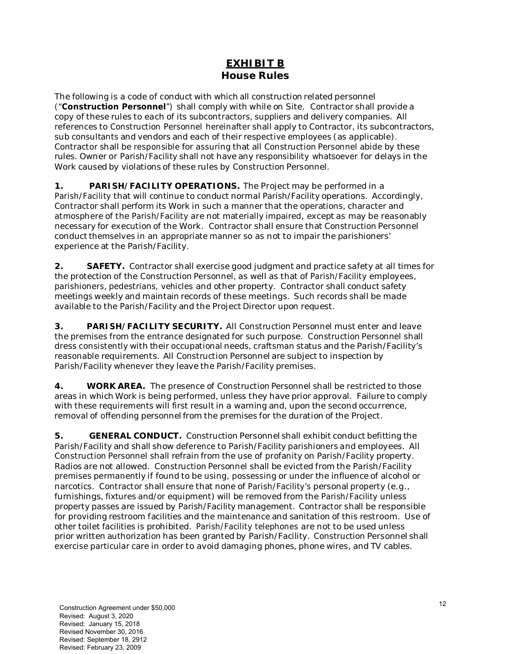## **EXHIBIT B House Rules**

The following is a code of conduct with which all construction related personnel ("**Construction Personnel**") shall comply with while on Site. Contractor shall provide a copy of these rules to each of its subcontractors, suppliers and delivery companies. All references to Construction Personnel hereinafter shall apply to Contractor, its subcontractors, sub consultants and vendors and each of their respective employees (as applicable). Contractor shall be responsible for assuring that all Construction Personnel abide by these rules. Owner or Parish/Facility shall not have any responsibility whatsoever for delays in the Work caused by violations of these rules by Construction Personnel.

**1. PARISH/FACILITY OPERATIONS.** The Project may be performed in a Parish/Facility that will continue to conduct normal Parish/Facility operations. Accordingly, Contractor shall perform its Work in such a manner that the operations, character and atmosphere of the Parish/Facility are not materially impaired, except as may be reasonably necessary for execution of the Work. Contractor shall ensure that Construction Personnel conduct themselves in an appropriate manner so as not to impair the parishioners' experience at the Parish/Facility.

**2. SAFETY.** Contractor shall exercise good judgment and practice safety at all times for the protection of the Construction Personnel, as well as that of Parish/Facility employees, parishioners, pedestrians, vehicles and other property. Contractor shall conduct safety meetings weekly and maintain records of these meetings. Such records shall be made available to the Parish/Facility and the Project Director upon request.

**3. PARISH/FACILITY SECURITY.** All Construction Personnel must enter and leave the premises from the entrance designated for such purpose. Construction Personnel shall dress consistently with their occupational needs, craftsman status and the Parish/Facility's reasonable requirements. All Construction Personnel are subject to inspection by Parish/Facility whenever they leave the Parish/Facility premises.

**4. WORK AREA.** The presence of Construction Personnel shall be restricted to those areas in which Work is being performed, unless they have prior approval. Failure to comply with these requirements will first result in a warning and, upon the second occurrence, removal of offending personnel from the premises for the duration of the Project.

**5. GENERAL CONDUCT.** Construction Personnel shall exhibit conduct befitting the Parish/Facility and shall show deference to Parish/Facility parishioners and employees. All Construction Personnel shall refrain from the use of profanity on Parish/Facility property. Radios are not allowed. Construction Personnel shall be evicted from the Parish/Facility premises permanently if found to be using, possessing or under the influence of alcohol or narcotics. Contractor shall ensure that none of Parish/Facility's personal property (*e.g.,*  furnishings, fixtures and/or equipment) will be removed from the Parish/Facility unless property passes are issued by Parish/Facility management. Contractor shall be responsible for providing restroom facilities and the maintenance and sanitation of this restroom. Use of other toilet facilities is prohibited. Parish/Facility telephones are not to be used unless prior written authorization has been granted by Parish/Facility. Construction Personnel shall exercise particular care in order to avoid damaging phones, phone wires, and TV cables.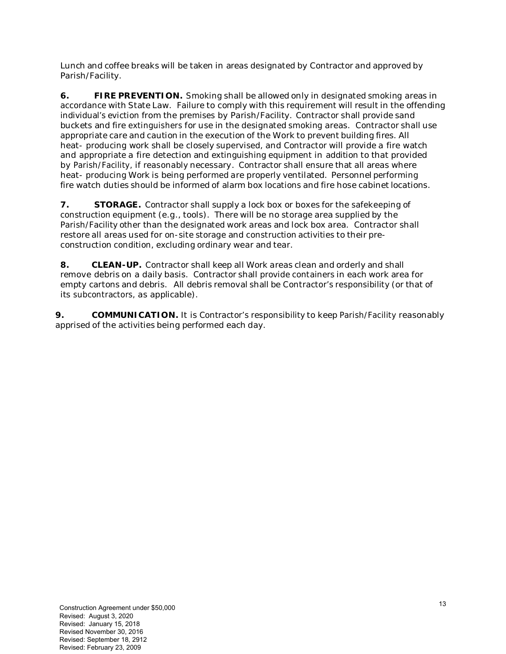Lunch and coffee breaks will be taken in areas designated by Contractor and approved by Parish/Facility.

**6. FIRE PREVENTION.** Smoking shall be allowed only in designated smoking areas in accordance with State Law. Failure to comply with this requirement will result in the offending individual's eviction from the premises by Parish/Facility. Contractor shall provide sand buckets and fire extinguishers for use in the designated smoking areas. Contractor shall use appropriate care and caution in the execution of the Work to prevent building fires. All heat- producing work shall be closely supervised, and Contractor will provide a fire watch and appropriate a fire detection and extinguishing equipment in addition to that provided by Parish/Facility, if reasonably necessary. Contractor shall ensure that all areas where heat- producing Work is being performed are properly ventilated. Personnel performing fire watch duties should be informed of alarm box locations and fire hose cabinet locations.

**7.** STORAGE. Contractor shall supply a lock box or boxes for the safekeeping of construction equipment (*e.g.*, tools). There will be no storage area supplied by the Parish/Facility other than the designated work areas and lock box area. Contractor shall restore all areas used for on-site storage and construction activities to their preconstruction condition, excluding ordinary wear and tear.

**8.** CLEAN-UP. Contractor shall keep all Work areas clean and orderly and shall remove debris on a daily basis. Contractor shall provide containers in each work area for empty cartons and debris. All debris removal shall be Contractor's responsibility (or that of its subcontractors, as applicable).

**9.** COMMUNICATION. It is Contractor's responsibility to keep Parish/Facility reasonably apprised of the activities being performed each day.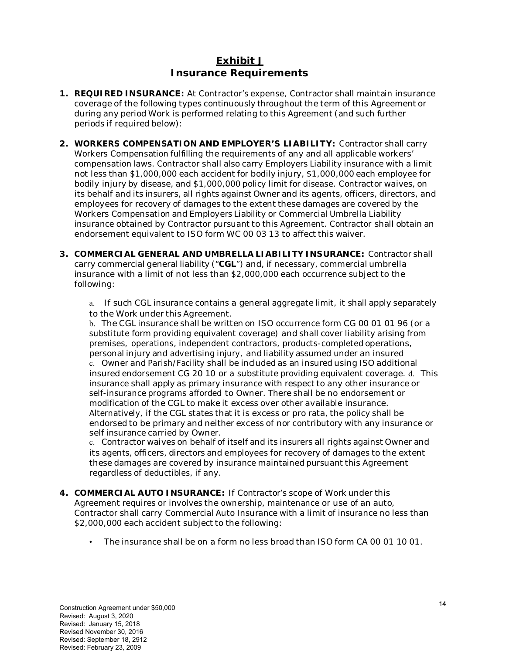## **Exhibit J Insurance Requirements**

- **1. REQUIRED INSURANCE:** At Contractor's expense, Contractor shall maintain insurance coverage of the following types continuously throughout the term of this Agreement or during any period Work is performed relating to this Agreement (and such further periods if required below):
- **2. WORKERS COMPENSATION AND EMPLOYER'S LIABILITY:** Contractor shall carry Workers Compensation fulfilling the requirements of any and all applicable workers' compensation laws. Contractor shall also carry Employers Liability insurance with a limit not less than \$1,000,000 each accident for bodily injury, \$1,000,000 each employee for bodily injury by disease, and \$1,000,000 policy limit for disease. Contractor waives, on its behalf and its insurers, all rights against Owner and its agents, officers, directors, and employees for recovery of damages to the extent these damages are covered by the Workers Compensation and Employers Liability or Commercial Umbrella Liability insurance obtained by Contractor pursuant to this Agreement. Contractor shall obtain an endorsement equivalent to ISO form WC 00 03 13 to affect this waiver.
- **3. COMMERCIAL GENERAL AND UMBRELLA LIABILITY INSURANCE:** Contractor shall carry commercial general liability ("**CGL**") and, if necessary, commercial umbrella insurance with a limit of not less than \$2,000,000 each occurrence subject to the following:
	- a. If such CGL insurance contains a general aggregate limit, it shall apply separately to the Work under this Agreement.

b. The CGL insurance shall be written on ISO occurrence form CG 00 01 01 96 (or a substitute form providing equivalent coverage) and shall cover liability arising from premises, operations, independent contractors, products-completed operations, personal injury and advertising injury, and liability assumed under an insured c. Owner and Parish/Facility shall be included as an insured using ISO additional insured endorsement CG 20 10 or a substitute providing equivalent coverage. d. This insurance shall apply as primary insurance with respect to any other insurance or self-insurance programs afforded to Owner. There shall be no endorsement or modification of the CGL to make it excess over other available insurance. Alternatively, if the CGL states that it is excess or pro rata, the policy shall be endorsed to be primary and neither excess of nor contributory with any insurance or self insurance carried by Owner.

c. Contractor waives on behalf of itself and its insurers all rights against Owner and its agents, officers, directors and employees for recovery of damages to the extent these damages are covered by insurance maintained pursuant this Agreement regardless of deductibles, if any.

- **4. COMMERCIAL AUTO INSURANCE:** If Contractor's scope of Work under this Agreement requires or involves the ownership, maintenance or use of an auto, Contractor shall carry Commercial Auto Insurance with a limit of insurance no less than \$2,000,000 each accident subject to the following:
	- The insurance shall be on a form no less broad than ISO form CA 00 01 10 01.